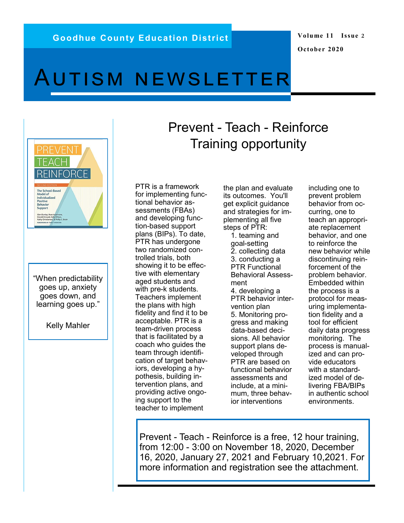### **Volume 11 Issue 2 October 2020**

# Autism newsletter



"When predictability goes up, anxiety goes down, and learning goes up."

Kelly Mahler

## Prevent - Teach - Reinforce Training opportunity

PTR is a framework for implementing functional behavior assessments (FBAs) and developing function-based support plans (BIPs). To date, PTR has undergone two randomized controlled trials, both showing it to be effective with elementary aged students and with pre-k students. Teachers implement the plans with high fidelity and find it to be acceptable. PTR is a team-driven process that is facilitated by a coach who guides the team through identification of target behaviors, developing a hypothesis, building intervention plans, and providing active ongoing support to the teacher to implement

the plan and evaluate its outcomes. You'll get explicit guidance and strategies for implementing all five steps of PTR:

1. teaming and goal-setting 2. collecting data 3. conducting a PTR Functional Behavioral Assessment 4. developing a PTR behavior intervention plan 5. Monitoring progress and making data-based decisions. All behavior support plans developed through PTR are based on functional behavior assessments and include, at a minimum, three behavior interventions

including one to prevent problem behavior from occurring, one to teach an appropriate replacement behavior, and one to reinforce the new behavior while discontinuing reinforcement of the problem behavior. Embedded within the process is a protocol for measuring implementation fidelity and a tool for efficient daily data progress monitoring. The process is manualized and can provide educators with a standardized model of delivering FBA/BIPs in authentic school environments.

Prevent - Teach - Reinforce is a free, 12 hour training, from 12:00 - 3:00 on November 18, 2020, December 16, 2020, January 27, 2021 and February 10,2021. For more information and registration see the attachment.